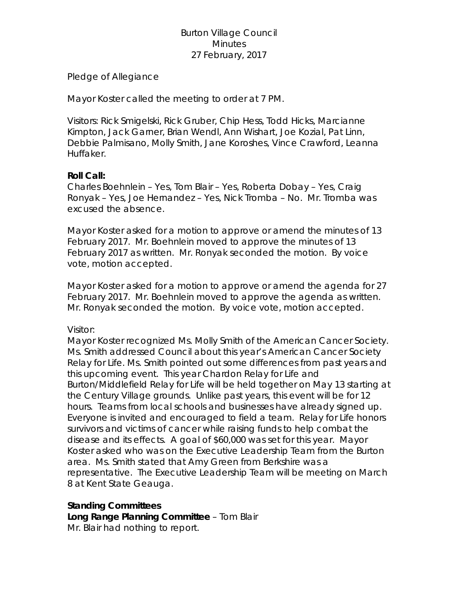# Burton Village Council **Minutes** 27 February, 2017

Pledge of Allegiance

Mayor Koster called the meeting to order at 7 PM.

Visitors: Rick Smigelski, Rick Gruber, Chip Hess, Todd Hicks, Marcianne Kimpton, Jack Garner, Brian Wendl, Ann Wishart, Joe Kozial, Pat Linn, Debbie Palmisano, Molly Smith, Jane Koroshes, Vince Crawford, Leanna Huffaker.

## **Roll Call:**

Charles Boehnlein – Yes, Tom Blair – Yes, Roberta Dobay – Yes, Craig Ronyak – Yes, Joe Hernandez – Yes, Nick Tromba – No. Mr. Tromba was excused the absence.

Mayor Koster asked for a motion to approve or amend the minutes of 13 February 2017. Mr. Boehnlein moved to approve the minutes of 13 February 2017 as written. Mr. Ronyak seconded the motion. By voice vote, motion accepted.

Mayor Koster asked for a motion to approve or amend the agenda for 27 February 2017. Mr. Boehnlein moved to approve the agenda as written. Mr. Ronyak seconded the motion. By voice vote, motion accepted.

Visitor:

Mayor Koster recognized Ms. Molly Smith of the American Cancer Society. Ms. Smith addressed Council about this year's American Cancer Society Relay for Life. Ms. Smith pointed out some differences from past years and this upcoming event. This year Chardon Relay for Life and Burton/Middlefield Relay for Life will be held together on May 13 starting at the Century Village grounds. Unlike past years, this event will be for 12 hours. Teams from local schools and businesses have already signed up. Everyone is invited and encouraged to field a team. Relay for Life honors survivors and victims of cancer while raising funds to help combat the disease and its effects. A goal of \$60,000 was set for this year. Mayor Koster asked who was on the Executive Leadership Team from the Burton area. Ms. Smith stated that Amy Green from Berkshire was a representative. The Executive Leadership Team will be meeting on March 8 at Kent State Geauga.

# **Standing Committees**

**Long Range Planning Committee** – Tom Blair Mr. Blair had nothing to report.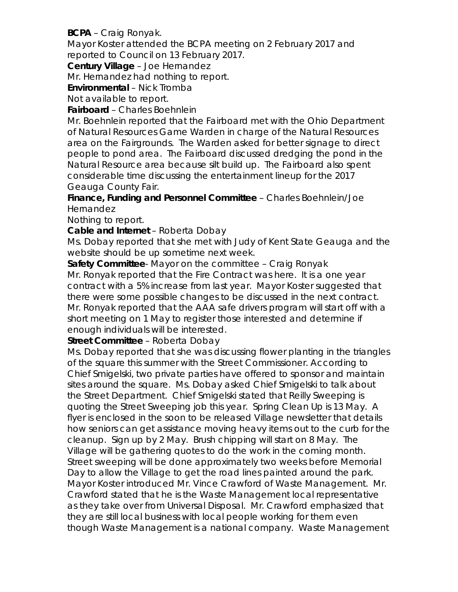# **BCPA** – Craig Ronyak.

Mayor Koster attended the BCPA meeting on 2 February 2017 and reported to Council on 13 February 2017.

**Century Village** – Joe Hernandez

Mr. Hernandez had nothing to report.

**Environmental** – Nick Tromba

Not available to report.

### **Fairboard** – Charles Boehnlein

Mr. Boehnlein reported that the Fairboard met with the Ohio Department of Natural Resources Game Warden in charge of the Natural Resources area on the Fairgrounds. The Warden asked for better signage to direct people to pond area. The Fairboard discussed dredging the pond in the Natural Resource area because silt build up. The Fairboard also spent considerable time discussing the entertainment lineup for the 2017 Geauga County Fair.

**Finance, Funding and Personnel Committee** – Charles Boehnlein/Joe Hernandez

Nothing to report.

**Cable and Internet** – Roberta Dobay

Ms. Dobay reported that she met with Judy of Kent State Geauga and the website should be up sometime next week.

**Safety Committee**- Mayor on the committee – Craig Ronyak Mr. Ronyak reported that the Fire Contract was here. It is a one year contract with a 5% increase from last year. Mayor Koster suggested that there were some possible changes to be discussed in the next contract. Mr. Ronyak reported that the AAA safe drivers program will start off with a short meeting on 1 May to register those interested and determine if enough individuals will be interested.

# **Street Committee** – Roberta Dobay

Ms. Dobay reported that she was discussing flower planting in the triangles of the square this summer with the Street Commissioner. According to Chief Smigelski, two private parties have offered to sponsor and maintain sites around the square. Ms. Dobay asked Chief Smigelski to talk about the Street Department. Chief Smigelski stated that Reilly Sweeping is quoting the Street Sweeping job this year. Spring Clean Up is 13 May. A flyer is enclosed in the soon to be released Village newsletter that details how seniors can get assistance moving heavy items out to the curb for the cleanup. Sign up by 2 May. Brush chipping will start on 8 May. The Village will be gathering quotes to do the work in the coming month. Street sweeping will be done approximately two weeks before Memorial Day to allow the Village to get the road lines painted around the park. Mayor Koster introduced Mr. Vince Crawford of Waste Management. Mr. Crawford stated that he is the Waste Management local representative as they take over from Universal Disposal. Mr. Crawford emphasized that they are still local business with local people working for them even though Waste Management is a national company. Waste Management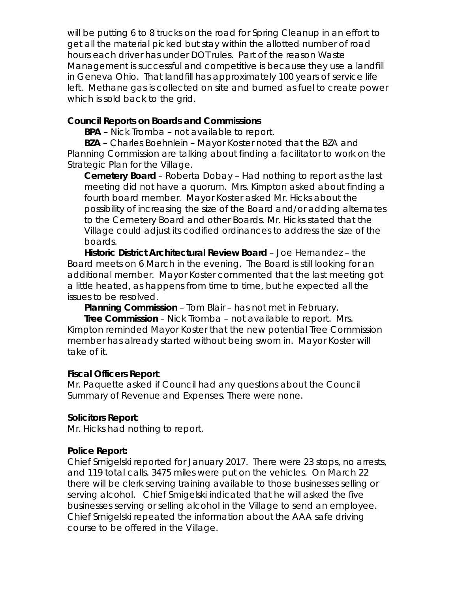will be putting 6 to 8 trucks on the road for Spring Cleanup in an effort to get all the material picked but stay within the allotted number of road hours each driver has under DOT rules. Part of the reason Waste Management is successful and competitive is because they use a landfill in Geneva Ohio. That landfill has approximately 100 years of service life left. Methane gas is collected on site and burned as fuel to create power which is sold back to the grid.

## **Council Reports on Boards and Commissions**

**BPA** – Nick Tromba – not available to report.

**BZA** – Charles Boehnlein – Mayor Koster noted that the BZA and Planning Commission are talking about finding a facilitator to work on the Strategic Plan for the Village.

**Cemetery Board** – Roberta Dobay – Had nothing to report as the last meeting did not have a quorum. Mrs. Kimpton asked about finding a fourth board member. Mayor Koster asked Mr. Hicks about the possibility of increasing the size of the Board and/or adding alternates to the Cemetery Board and other Boards. Mr. Hicks stated that the Village could adjust its codified ordinances to address the size of the boards.

**Historic District Architectural Review Board** – Joe Hernandez – the Board meets on 6 March in the evening. The Board is still looking for an additional member. Mayor Koster commented that the last meeting got a little heated, as happens from time to time, but he expected all the issues to be resolved.

**Planning Commission** – Tom Blair – has not met in February.

**Tree Commission** – Nick Tromba – not available to report. Mrs. Kimpton reminded Mayor Koster that the new potential Tree Commission member has already started without being sworn in. Mayor Koster will take of it.

### **Fiscal Officers Report**:

Mr. Paquette asked if Council had any questions about the Council Summary of Revenue and Expenses. There were none.

### **Solicitors Report**:

Mr. Hicks had nothing to report.

### **Police Report:**

Chief Smigelski reported for January 2017. There were 23 stops, no arrests, and 119 total calls. 3475 miles were put on the vehicles. On March 22 there will be clerk serving training available to those businesses selling or serving alcohol. Chief Smigelski indicated that he will asked the five businesses serving or selling alcohol in the Village to send an employee. Chief Smigelski repeated the information about the AAA safe driving course to be offered in the Village.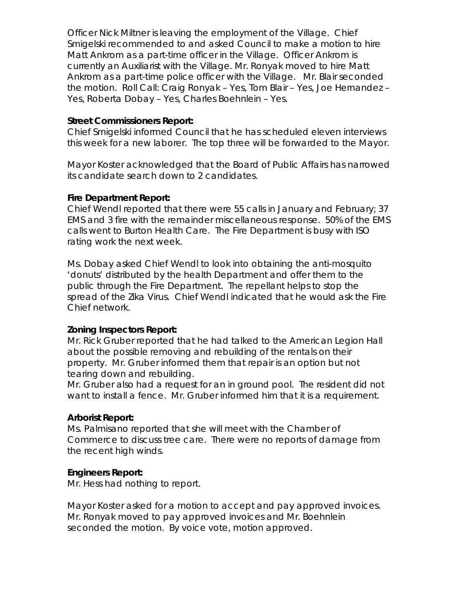Officer Nick Miltner is leaving the employment of the Village. Chief Smigelski recommended to and asked Council to make a motion to hire Matt Ankrom as a part-time officer in the Village. Officer Ankrom is currently an Auxiliarist with the Village. Mr. Ronyak moved to hire Matt Ankrom as a part-time police officer with the Village. Mr. Blair seconded the motion. Roll Call: Craig Ronyak – Yes, Tom Blair – Yes, Joe Hernandez – Yes, Roberta Dobay – Yes, Charles Boehnlein – Yes.

#### **Street Commissioners Report:**

Chief Smigelski informed Council that he has scheduled eleven interviews this week for a new laborer. The top three will be forwarded to the Mayor.

Mayor Koster acknowledged that the Board of Public Affairs has narrowed its candidate search down to 2 candidates.

#### **Fire Department Report:**

Chief Wendl reported that there were 55 calls in January and February; 37 EMS and 3 fire with the remainder miscellaneous response. 50% of the EMS calls went to Burton Health Care. The Fire Department is busy with ISO rating work the next week.

Ms. Dobay asked Chief Wendl to look into obtaining the anti-mosquito 'donuts' distributed by the health Department and offer them to the public through the Fire Department. The repellant helps to stop the spread of the Zika Virus. Chief Wendl indicated that he would ask the Fire Chief network.

#### **Zoning Inspectors Report:**

Mr. Rick Gruber reported that he had talked to the American Legion Hall about the possible removing and rebuilding of the rentals on their property. Mr. Gruber informed them that repair is an option but not tearing down and rebuilding.

Mr. Gruber also had a request for an in ground pool. The resident did not want to install a fence. Mr. Gruber informed him that it is a requirement.

#### **Arborist Report:**

Ms. Palmisano reported that she will meet with the Chamber of Commerce to discuss tree care. There were no reports of damage from the recent high winds.

#### **Engineers Report:**

Mr. Hess had nothing to report.

Mayor Koster asked for a motion to accept and pay approved invoices. Mr. Ronyak moved to pay approved invoices and Mr. Boehnlein seconded the motion. By voice vote, motion approved.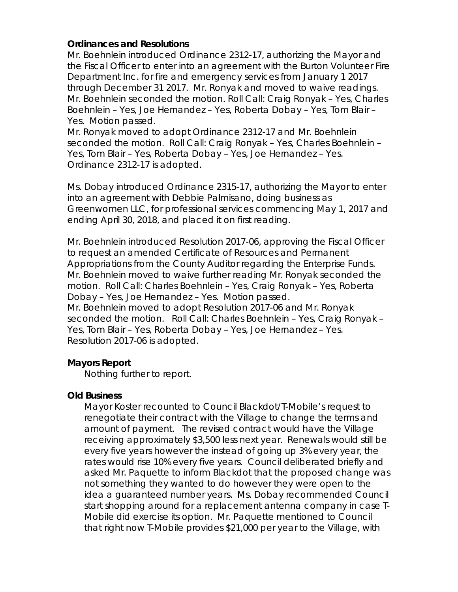### **Ordinances and Resolutions**

Mr. Boehnlein introduced Ordinance 2312-17, authorizing the Mayor and the Fiscal Officer to enter into an agreement with the Burton Volunteer Fire Department Inc. for fire and emergency services from January 1 2017 through December 31 2017. Mr. Ronyak and moved to waive readings. Mr. Boehnlein seconded the motion. Roll Call: Craig Ronyak – Yes, Charles Boehnlein – Yes, Joe Hernandez – Yes, Roberta Dobay – Yes, Tom Blair – Yes. Motion passed.

Mr. Ronyak moved to adopt Ordinance 2312-17 and Mr. Boehnlein seconded the motion. Roll Call: Craig Ronyak – Yes, Charles Boehnlein – Yes, Tom Blair – Yes, Roberta Dobay – Yes, Joe Hernandez – Yes. Ordinance 2312-17 is adopted.

Ms. Dobay introduced Ordinance 2315-17, authorizing the Mayor to enter into an agreement with Debbie Palmisano, doing business as Greenwomen LLC, for professional services commencing May 1, 2017 and ending April 30, 2018, and placed it on first reading.

Mr. Boehnlein introduced Resolution 2017-06, approving the Fiscal Officer to request an amended Certificate of Resources and Permanent Appropriations from the County Auditor regarding the Enterprise Funds. Mr. Boehnlein moved to waive further reading Mr. Ronyak seconded the motion. Roll Call: Charles Boehnlein – Yes, Craig Ronyak – Yes, Roberta Dobay – Yes, Joe Hernandez – Yes. Motion passed. Mr. Boehnlein moved to adopt Resolution 2017-06 and Mr. Ronyak seconded the motion. Roll Call: Charles Boehnlein – Yes, Craig Ronyak – Yes, Tom Blair – Yes, Roberta Dobay – Yes, Joe Hernandez – Yes. Resolution 2017-06 is adopted.

# **Mayors Report**

Nothing further to report.

# **Old Business**

Mayor Koster recounted to Council Blackdot/T-Mobile's request to renegotiate their contract with the Village to change the terms and amount of payment. The revised contract would have the Village receiving approximately \$3,500 less next year. Renewals would still be every five years however the instead of going up 3% every year, the rates would rise 10% every five years. Council deliberated briefly and asked Mr. Paquette to inform Blackdot that the proposed change was not something they wanted to do however they were open to the idea a guaranteed number years. Ms. Dobay recommended Council start shopping around for a replacement antenna company in case T-Mobile did exercise its option. Mr. Paquette mentioned to Council that right now T-Mobile provides \$21,000 per year to the Village, with